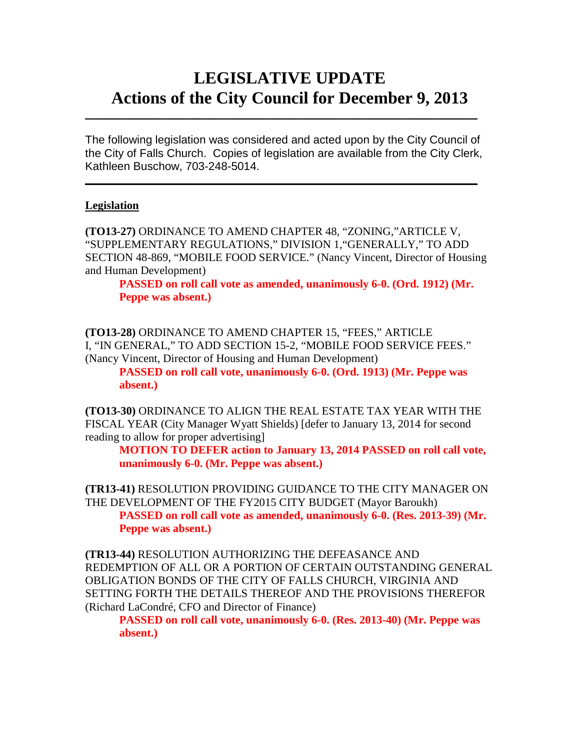# **LEGISLATIVE UPDATE Actions of the City Council for December 9, 2013**

The following legislation was considered and acted upon by the City Council of the City of Falls Church. Copies of legislation are available from the City Clerk, Kathleen Buschow, 703-248-5014.

 $\mathcal{L}_\text{max}$  and  $\mathcal{L}_\text{max}$  and  $\mathcal{L}_\text{max}$  and  $\mathcal{L}_\text{max}$  and  $\mathcal{L}_\text{max}$  and  $\mathcal{L}_\text{max}$ 

 $\mathcal{L}_\text{max}$  and  $\mathcal{L}_\text{max}$  and  $\mathcal{L}_\text{max}$  and  $\mathcal{L}_\text{max}$  and  $\mathcal{L}_\text{max}$  and  $\mathcal{L}_\text{max}$ 

### **Legislation**

**(TO13-27)** ORDINANCE TO AMEND CHAPTER 48, "ZONING,"ARTICLE V, "SUPPLEMENTARY REGULATIONS," DIVISION 1,"GENERALLY," TO ADD SECTION 48-869, "MOBILE FOOD SERVICE." (Nancy Vincent, Director of Housing and Human Development)

**PASSED on roll call vote as amended, unanimously 6-0. (Ord. 1912) (Mr. Peppe was absent.)**

**(TO13-28)** ORDINANCE TO AMEND CHAPTER 15, "FEES," ARTICLE I, "IN GENERAL," TO ADD SECTION 15-2, "MOBILE FOOD SERVICE FEES." (Nancy Vincent, Director of Housing and Human Development)

**PASSED on roll call vote, unanimously 6-0. (Ord. 1913) (Mr. Peppe was absent.)**

**(TO13-30)** ORDINANCE TO ALIGN THE REAL ESTATE TAX YEAR WITH THE FISCAL YEAR (City Manager Wyatt Shields) [defer to January 13, 2014 for second reading to allow for proper advertising]

**MOTION TO DEFER action to January 13, 2014 PASSED on roll call vote, unanimously 6-0. (Mr. Peppe was absent.)**

**(TR13-41)** RESOLUTION PROVIDING GUIDANCE TO THE CITY MANAGER ON THE DEVELOPMENT OF THE FY2015 CITY BUDGET (Mayor Baroukh) **PASSED on roll call vote as amended, unanimously 6-0. (Res. 2013-39) (Mr. Peppe was absent.)**

**(TR13-44)** RESOLUTION AUTHORIZING THE DEFEASANCE AND REDEMPTION OF ALL OR A PORTION OF CERTAIN OUTSTANDING GENERAL OBLIGATION BONDS OF THE CITY OF FALLS CHURCH, VIRGINIA AND SETTING FORTH THE DETAILS THEREOF AND THE PROVISIONS THEREFOR (Richard LaCondré, CFO and Director of Finance)

**PASSED on roll call vote, unanimously 6-0. (Res. 2013-40) (Mr. Peppe was absent.)**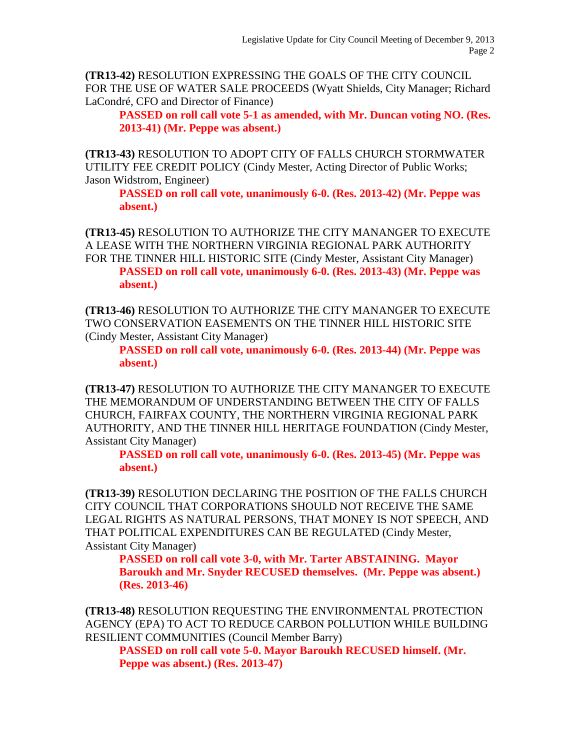**(TR13-42)** RESOLUTION EXPRESSING THE GOALS OF THE CITY COUNCIL FOR THE USE OF WATER SALE PROCEEDS (Wyatt Shields, City Manager; Richard LaCondré, CFO and Director of Finance)

**PASSED on roll call vote 5-1 as amended, with Mr. Duncan voting NO. (Res. 2013-41) (Mr. Peppe was absent.)**

**(TR13-43)** RESOLUTION TO ADOPT CITY OF FALLS CHURCH STORMWATER UTILITY FEE CREDIT POLICY (Cindy Mester, Acting Director of Public Works; Jason Widstrom, Engineer)

**PASSED on roll call vote, unanimously 6-0. (Res. 2013-42) (Mr. Peppe was absent.)**

**(TR13-45)** RESOLUTION TO AUTHORIZE THE CITY MANANGER TO EXECUTE A LEASE WITH THE NORTHERN VIRGINIA REGIONAL PARK AUTHORITY FOR THE TINNER HILL HISTORIC SITE (Cindy Mester, Assistant City Manager) **PASSED on roll call vote, unanimously 6-0. (Res. 2013-43) (Mr. Peppe was absent.)**

**(TR13-46)** RESOLUTION TO AUTHORIZE THE CITY MANANGER TO EXECUTE TWO CONSERVATION EASEMENTS ON THE TINNER HILL HISTORIC SITE (Cindy Mester, Assistant City Manager)

**PASSED on roll call vote, unanimously 6-0. (Res. 2013-44) (Mr. Peppe was absent.)**

**(TR13-47)** RESOLUTION TO AUTHORIZE THE CITY MANANGER TO EXECUTE THE MEMORANDUM OF UNDERSTANDING BETWEEN THE CITY OF FALLS CHURCH, FAIRFAX COUNTY, THE NORTHERN VIRGINIA REGIONAL PARK AUTHORITY, AND THE TINNER HILL HERITAGE FOUNDATION (Cindy Mester, Assistant City Manager)

**PASSED on roll call vote, unanimously 6-0. (Res. 2013-45) (Mr. Peppe was absent.)**

**(TR13-39)** RESOLUTION DECLARING THE POSITION OF THE FALLS CHURCH CITY COUNCIL THAT CORPORATIONS SHOULD NOT RECEIVE THE SAME LEGAL RIGHTS AS NATURAL PERSONS, THAT MONEY IS NOT SPEECH, AND THAT POLITICAL EXPENDITURES CAN BE REGULATED (Cindy Mester, Assistant City Manager)

**PASSED on roll call vote 3-0, with Mr. Tarter ABSTAINING. Mayor Baroukh and Mr. Snyder RECUSED themselves. (Mr. Peppe was absent.) (Res. 2013-46)**

**(TR13-48)** RESOLUTION REQUESTING THE ENVIRONMENTAL PROTECTION AGENCY (EPA) TO ACT TO REDUCE CARBON POLLUTION WHILE BUILDING RESILIENT COMMUNITIES (Council Member Barry)

**PASSED on roll call vote 5-0. Mayor Baroukh RECUSED himself. (Mr. Peppe was absent.) (Res. 2013-47)**